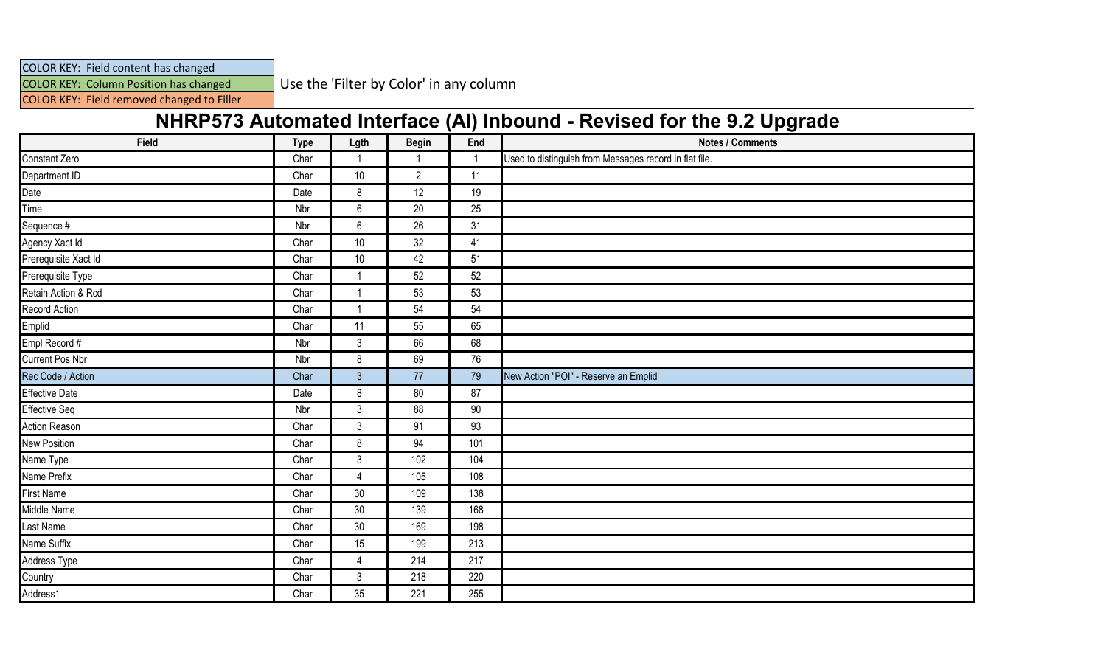COLOR KEY: Field content has changed

COLOR KEY: Column Position has changed Use the 'Filter by Color' in any column

COLOR KEY: Field removed changed to Filler

## **NHRP573 Automated Interface (AI) Inbound - Revised for the 9.2 Upgrade**

| Field                  | <b>Type</b> | Lgth           | <b>Begin</b>   | End | <b>Notes / Comments</b>                                |
|------------------------|-------------|----------------|----------------|-----|--------------------------------------------------------|
| Constant Zero          | Char        |                |                |     | Used to distinguish from Messages record in flat file. |
| Department ID          | Char        | 10             | $\overline{2}$ | 11  |                                                        |
| Date                   | Date        | 8              | 12             | 19  |                                                        |
| Time                   | Nbr         | $6\,$          | 20             | 25  |                                                        |
| Sequence #             | Nbr         | $\,6\,$        | 26             | 31  |                                                        |
| Agency Xact Id         | Char        | 10             | 32             | 41  |                                                        |
| Prerequisite Xact Id   | Char        | $10$           | 42             | 51  |                                                        |
| Prerequisite Type      | Char        | -1             | 52             | 52  |                                                        |
| Retain Action & Rcd    | Char        |                | 53             | 53  |                                                        |
| Record Action          | Char        | -1             | 54             | 54  |                                                        |
| Emplid                 | Char        | 11             | 55             | 65  |                                                        |
| Empl Record #          | Nbr         | $\mathfrak{Z}$ | 66             | 68  |                                                        |
| <b>Current Pos Nbr</b> | Nbr         | 8              | 69             | 76  |                                                        |
| Rec Code / Action      | Char        | $\mathbf{3}$   | 77             | 79  | New Action "POI" - Reserve an Emplid                   |
| <b>Effective Date</b>  | Date        | 8              | 80             | 87  |                                                        |
| Effective Seq          | Nbr         | $\mathfrak{Z}$ | 88             | 90  |                                                        |
| Action Reason          | Char        | $\mathfrak{Z}$ | 91             | 93  |                                                        |
| New Position           | Char        | 8              | 94             | 101 |                                                        |
| Name Type              | Char        | $\mathfrak{3}$ | 102            | 104 |                                                        |
| Name Prefix            | Char        | $\overline{4}$ | 105            | 108 |                                                        |
| <b>First Name</b>      | Char        | 30             | 109            | 138 |                                                        |
| Middle Name            | Char        | $30\,$         | 139            | 168 |                                                        |
| Last Name              | Char        | 30             | 169            | 198 |                                                        |
| Name Suffix            | Char        | 15             | 199            | 213 |                                                        |
| Address Type           | Char        | $\overline{4}$ | 214            | 217 |                                                        |
| Country                | Char        | $\mathfrak{Z}$ | 218            | 220 |                                                        |
| Address1               | Char        | 35             | 221            | 255 |                                                        |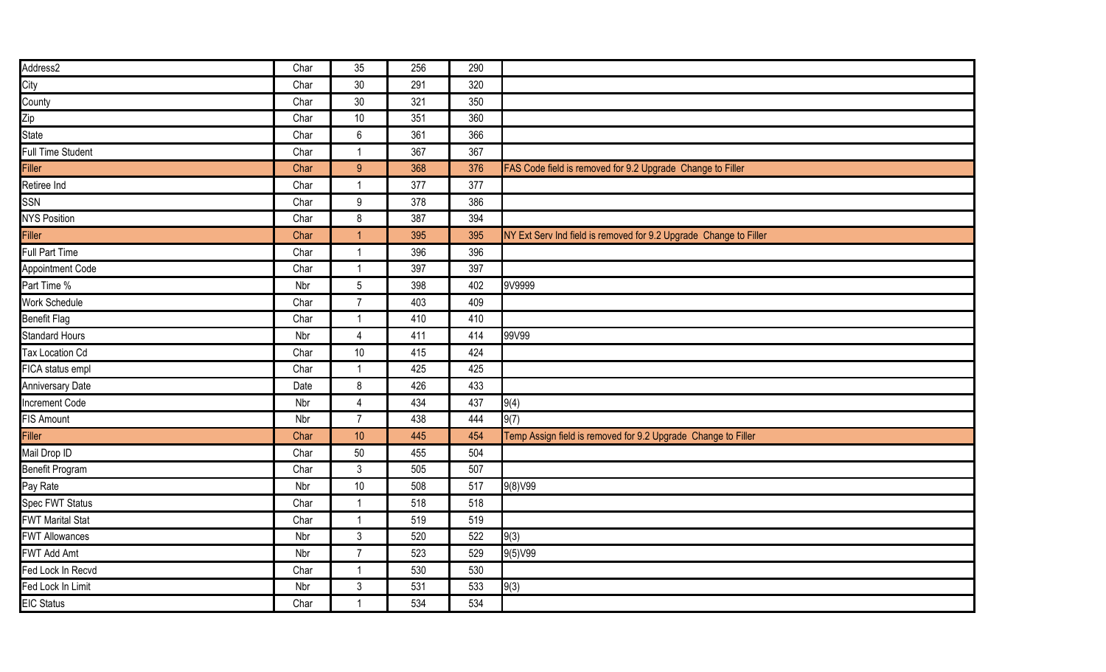| Address2                 | Char | 35             | 256 | 290 |                                                                   |
|--------------------------|------|----------------|-----|-----|-------------------------------------------------------------------|
| City                     | Char | 30             | 291 | 320 |                                                                   |
| County                   | Char | 30             | 321 | 350 |                                                                   |
| Zip<br>State             | Char | 10             | 351 | 360 |                                                                   |
|                          | Char | $6\,$          | 361 | 366 |                                                                   |
| <b>Full Time Student</b> | Char | -1             | 367 | 367 |                                                                   |
| Filler                   | Char | 9              | 368 | 376 | FAS Code field is removed for 9.2 Upgrade Change to Filler        |
| Retiree Ind              | Char | $\overline{1}$ | 377 | 377 |                                                                   |
| SSN                      | Char | 9              | 378 | 386 |                                                                   |
| <b>NYS Position</b>      | Char | 8              | 387 | 394 |                                                                   |
| Filler                   | Char | -1             | 395 | 395 | NY Ext Serv Ind field is removed for 9.2 Upgrade Change to Filler |
| Full Part Time           | Char | -1             | 396 | 396 |                                                                   |
| Appointment Code         | Char | -1             | 397 | 397 |                                                                   |
| Part Time %              | Nbr  | $5\,$          | 398 | 402 | 9V9999                                                            |
| Work Schedule            | Char | $\overline{7}$ | 403 | 409 |                                                                   |
| <b>Benefit Flag</b>      | Char | -1             | 410 | 410 |                                                                   |
| <b>Standard Hours</b>    | Nbr  | $\overline{4}$ | 411 | 414 | 99V99                                                             |
| Tax Location Cd          | Char | $10$           | 415 | 424 |                                                                   |
| FICA status empl         | Char | $\overline{1}$ | 425 | 425 |                                                                   |
| Anniversary Date         | Date | $\bf 8$        | 426 | 433 |                                                                   |
| Increment Code           | Nbr  | $\overline{4}$ | 434 | 437 | 9(4)                                                              |
| <b>FIS Amount</b>        | Nbr  | $\overline{7}$ | 438 | 444 | 9(7)                                                              |
| <b>Filler</b>            | Char | 10             | 445 | 454 | Temp Assign field is removed for 9.2 Upgrade Change to Filler     |
| Mail Drop ID             | Char | 50             | 455 | 504 |                                                                   |
| <b>Benefit Program</b>   | Char | $\mathfrak{Z}$ | 505 | 507 |                                                                   |
| Pay Rate                 | Nbr  | 10             | 508 | 517 | 9(8)V99                                                           |
| Spec FWT Status          | Char | $\mathbf{1}$   | 518 | 518 |                                                                   |
| <b>FWT Marital Stat</b>  | Char | $\overline{1}$ | 519 | 519 |                                                                   |
| <b>FWT Allowances</b>    | Nbr  | $\mathfrak{Z}$ | 520 | 522 | 9(3)                                                              |
| FWT Add Amt              | Nbr  | $\overline{7}$ | 523 | 529 | 9(5)V99                                                           |
| Fed Lock In Recvd        | Char | $\mathbf{1}$   | 530 | 530 |                                                                   |
| Fed Lock In Limit        | Nbr  | $\mathfrak{Z}$ | 531 | 533 | 9(3)                                                              |
| <b>EIC Status</b>        | Char | -1             | 534 | 534 |                                                                   |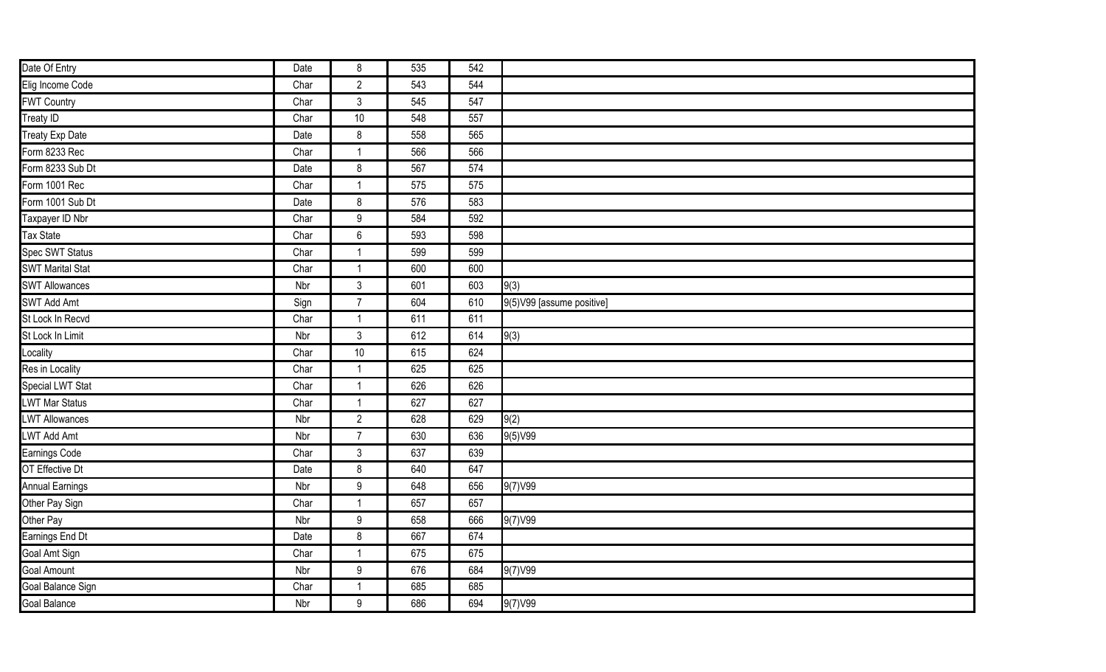| Date Of Entry           | Date | 8                | 535 | 542 |                           |
|-------------------------|------|------------------|-----|-----|---------------------------|
| Elig Income Code        | Char | $\overline{2}$   | 543 | 544 |                           |
| <b>FWT Country</b>      | Char | $\mathbf{3}$     | 545 | 547 |                           |
| Treaty ID               | Char | $10\,$           | 548 | 557 |                           |
| Treaty Exp Date         | Date | 8                | 558 | 565 |                           |
| Form 8233 Rec           | Char | $\mathbf{1}$     | 566 | 566 |                           |
| Form 8233 Sub Dt        | Date | 8                | 567 | 574 |                           |
| Form 1001 Rec           | Char | $\mathbf{1}$     | 575 | 575 |                           |
| Form 1001 Sub Dt        | Date | 8                | 576 | 583 |                           |
| Taxpayer ID Nbr         | Char | 9                | 584 | 592 |                           |
| <b>Tax State</b>        | Char | $6\phantom{a}$   | 593 | 598 |                           |
| Spec SWT Status         | Char | $\mathbf{1}$     | 599 | 599 |                           |
| <b>SWT Marital Stat</b> | Char | $\mathbf{1}$     | 600 | 600 |                           |
| <b>SWT Allowances</b>   | Nbr  | $\mathbf{3}$     | 601 | 603 | 9(3)                      |
| SWT Add Amt             | Sign | $\overline{7}$   | 604 | 610 | 9(5)V99 [assume positive] |
| St Lock In Recvd        | Char | $\mathbf{1}$     | 611 | 611 |                           |
| St Lock In Limit        | Nbr  | $\mathfrak{Z}$   | 612 | 614 | 9(3)                      |
| Locality                | Char | $10\,$           | 615 | 624 |                           |
| Res in Locality         | Char | $\mathbf{1}$     | 625 | 625 |                           |
| Special LWT Stat        | Char | $\mathbf{1}$     | 626 | 626 |                           |
| <b>LWT Mar Status</b>   | Char | $\mathbf{1}$     | 627 | 627 |                           |
| <b>LWT Allowances</b>   | Nbr  | $\overline{2}$   | 628 | 629 | 9(2)                      |
| LWT Add Amt             | Nbr  | $\overline{7}$   | 630 | 636 | 9(5)V99                   |
| Earnings Code           | Char | $\mathfrak{Z}$   | 637 | 639 |                           |
| OT Effective Dt         | Date | 8                | 640 | 647 |                           |
| <b>Annual Earnings</b>  | Nbr  | $\boldsymbol{9}$ | 648 | 656 | 9(7) V99                  |
| Other Pay Sign          | Char | $\mathbf{1}$     | 657 | 657 |                           |
| Other Pay               | Nbr  | $9\,$            | 658 | 666 | 9(7) V99                  |
| Earnings End Dt         | Date | 8                | 667 | 674 |                           |
| Goal Amt Sign           | Char | $\mathbf{1}$     | 675 | 675 |                           |
| <b>Goal Amount</b>      | Nbr  | $\boldsymbol{9}$ | 676 | 684 | 9(7) V99                  |
| Goal Balance Sign       | Char | $\mathbf{1}$     | 685 | 685 |                           |
| <b>Goal Balance</b>     | Nbr  | 9                | 686 | 694 | 9(7) V99                  |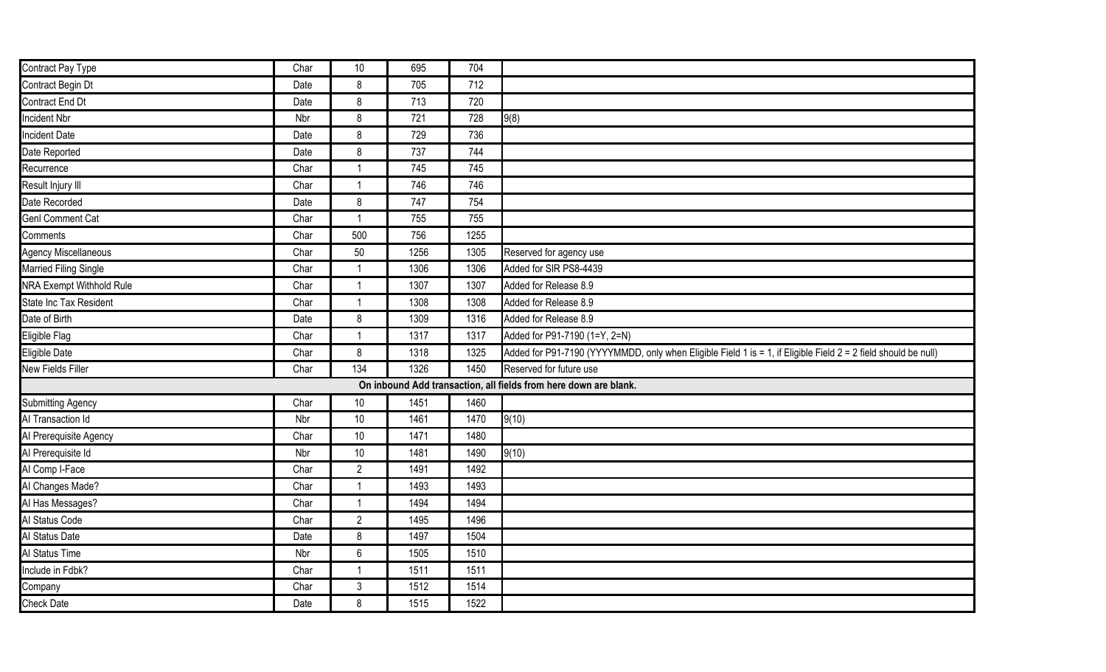| Contract Pay Type                                                | Char | 10             | 695  | 704  |                                                                                                                |  |
|------------------------------------------------------------------|------|----------------|------|------|----------------------------------------------------------------------------------------------------------------|--|
| Contract Begin Dt                                                | Date | 8              | 705  | 712  |                                                                                                                |  |
| Contract End Dt                                                  | Date | 8              | 713  | 720  |                                                                                                                |  |
| Incident Nbr                                                     | Nbr  | 8              | 721  | 728  | 9(8)                                                                                                           |  |
| <b>Incident Date</b>                                             | Date | 8              | 729  | 736  |                                                                                                                |  |
| Date Reported                                                    | Date | 8              | 737  | 744  |                                                                                                                |  |
| Recurrence                                                       | Char | -1             | 745  | 745  |                                                                                                                |  |
| Result Injury III                                                | Char | -1             | 746  | 746  |                                                                                                                |  |
| Date Recorded                                                    | Date | 8              | 747  | 754  |                                                                                                                |  |
| <b>Genl Comment Cat</b>                                          | Char | -1             | 755  | 755  |                                                                                                                |  |
| Comments                                                         | Char | 500            | 756  | 1255 |                                                                                                                |  |
| Agency Miscellaneous                                             | Char | 50             | 1256 | 1305 | Reserved for agency use                                                                                        |  |
| Married Filing Single                                            | Char | $\mathbf 1$    | 1306 | 1306 | Added for SIR PS8-4439                                                                                         |  |
| <b>NRA Exempt Withhold Rule</b>                                  | Char | -1             | 1307 | 1307 | Added for Release 8.9                                                                                          |  |
| State Inc Tax Resident                                           | Char | -1             | 1308 | 1308 | Added for Release 8.9                                                                                          |  |
| Date of Birth                                                    | Date | 8              | 1309 | 1316 | Added for Release 8.9                                                                                          |  |
| Eligible Flag                                                    | Char | $\mathbf{1}$   | 1317 | 1317 | Added for P91-7190 (1=Y, 2=N)                                                                                  |  |
| Eligible Date                                                    | Char | 8              | 1318 | 1325 | Added for P91-7190 (YYYYMMDD, only when Eligible Field 1 is = 1, if Eligible Field 2 = 2 field should be null) |  |
| <b>New Fields Filler</b>                                         | Char | 134            | 1326 | 1450 | Reserved for future use                                                                                        |  |
| On inbound Add transaction, all fields from here down are blank. |      |                |      |      |                                                                                                                |  |
| <b>Submitting Agency</b>                                         | Char | 10             | 1451 | 1460 |                                                                                                                |  |
| Al Transaction Id                                                | Nbr  | 10             | 1461 | 1470 | 9(10)                                                                                                          |  |
| Al Prerequisite Agency                                           | Char | $10$           | 1471 | 1480 |                                                                                                                |  |
| Al Prerequisite Id                                               | Nbr  | $10$           | 1481 | 1490 | 9(10)                                                                                                          |  |
| Al Comp I-Face                                                   | Char | $\overline{2}$ | 1491 | 1492 |                                                                                                                |  |
| Al Changes Made?                                                 | Char | 1              | 1493 | 1493 |                                                                                                                |  |
| Al Has Messages?                                                 | Char | $\mathbf 1$    | 1494 | 1494 |                                                                                                                |  |
| Al Status Code                                                   | Char | $\overline{2}$ | 1495 | 1496 |                                                                                                                |  |
| Al Status Date                                                   | Date | $\bf 8$        | 1497 | 1504 |                                                                                                                |  |
| Al Status Time                                                   | Nbr  | $6\,$          | 1505 | 1510 |                                                                                                                |  |
| Include in Fdbk?                                                 | Char | $\mathbf 1$    | 1511 | 1511 |                                                                                                                |  |
| Company                                                          | Char | $\mathfrak{Z}$ | 1512 | 1514 |                                                                                                                |  |
| <b>Check Date</b>                                                | Date | 8              | 1515 | 1522 |                                                                                                                |  |